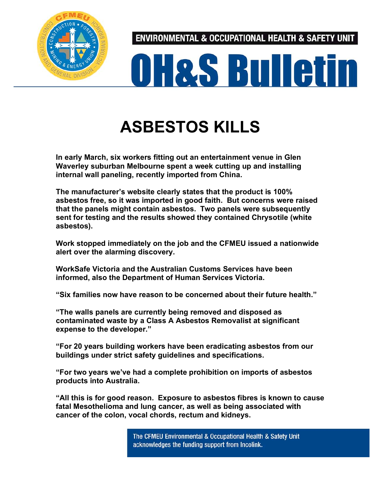

ENVIRONMENTAL & OCCUPATIONAL HEALTH & SAFETY UNIT



## **ASBESTOS KILLS**

**In early March, six workers fitting out an entertainment venue in Glen Waverley suburban Melbourne spent a week cutting up and installing internal wall paneling, recently imported from China.**

**The manufacturer's website clearly states that the product is 100% asbestos free, so it was imported in good faith. But concerns were raised that the panels might contain asbestos. Two panels were subsequently sent for testing and the results showed they contained Chrysotile (white asbestos).**

**Work stopped immediately on the job and the CFMEU issued a nationwide alert over the alarming discovery.**

**WorkSafe Victoria and the Australian Customs Services have been informed, also the Department of Human Services Victoria.**

**"Six families now have reason to be concerned about their future health."**

**"The walls panels are currently being removed and disposed as contaminated waste by a Class A Asbestos Removalist at significant expense to the developer."**

**"For 20 years building workers have been eradicating asbestos from our buildings under strict safety guidelines and specifications.**

**"For two years we've had a complete prohibition on imports of asbestos products into Australia.**

**"All this is for good reason. Exposure to asbestos fibres is known to cause fatal Mesothelioma and lung cancer, as well as being associated with cancer of the colon, vocal chords, rectum and kidneys.**

> The CFMEU Environmental & Occupational Health & Safety Unit acknowledges the funding support from Incolink.